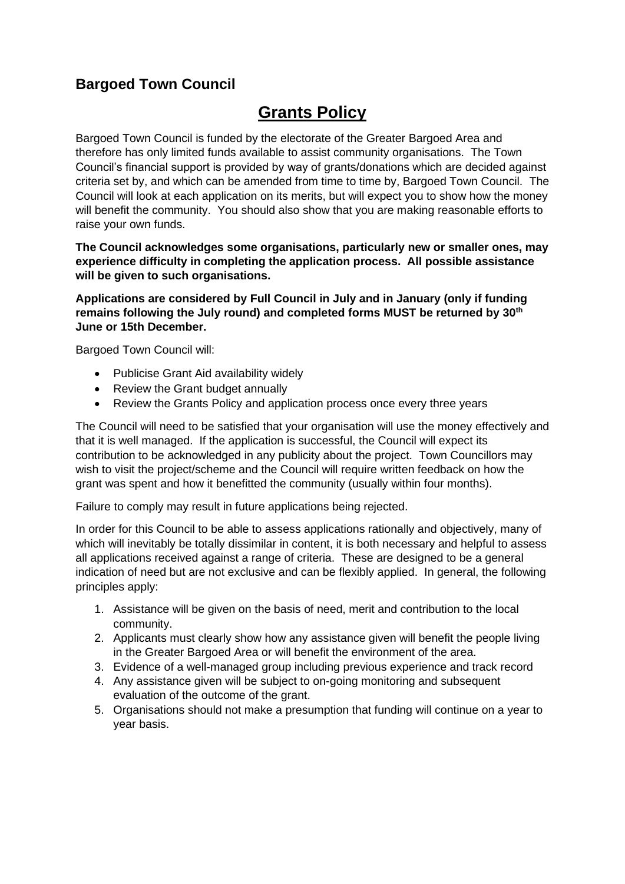# **Bargoed Town Council**

# **Grants Policy**

Bargoed Town Council is funded by the electorate of the Greater Bargoed Area and therefore has only limited funds available to assist community organisations. The Town Council's financial support is provided by way of grants/donations which are decided against criteria set by, and which can be amended from time to time by, Bargoed Town Council. The Council will look at each application on its merits, but will expect you to show how the money will benefit the community. You should also show that you are making reasonable efforts to raise your own funds.

#### **The Council acknowledges some organisations, particularly new or smaller ones, may experience difficulty in completing the application process. All possible assistance will be given to such organisations.**

**Applications are considered by Full Council in July and in January (only if funding remains following the July round) and completed forms MUST be returned by 30th June or 15th December.**

Bargoed Town Council will:

- Publicise Grant Aid availability widely
- Review the Grant budget annually
- Review the Grants Policy and application process once every three years

The Council will need to be satisfied that your organisation will use the money effectively and that it is well managed. If the application is successful, the Council will expect its contribution to be acknowledged in any publicity about the project. Town Councillors may wish to visit the project/scheme and the Council will require written feedback on how the grant was spent and how it benefitted the community (usually within four months).

Failure to comply may result in future applications being rejected.

In order for this Council to be able to assess applications rationally and objectively, many of which will inevitably be totally dissimilar in content, it is both necessary and helpful to assess all applications received against a range of criteria. These are designed to be a general indication of need but are not exclusive and can be flexibly applied. In general, the following principles apply:

- 1. Assistance will be given on the basis of need, merit and contribution to the local community.
- 2. Applicants must clearly show how any assistance given will benefit the people living in the Greater Bargoed Area or will benefit the environment of the area.
- 3. Evidence of a well-managed group including previous experience and track record
- 4. Any assistance given will be subject to on-going monitoring and subsequent evaluation of the outcome of the grant.
- 5. Organisations should not make a presumption that funding will continue on a year to year basis.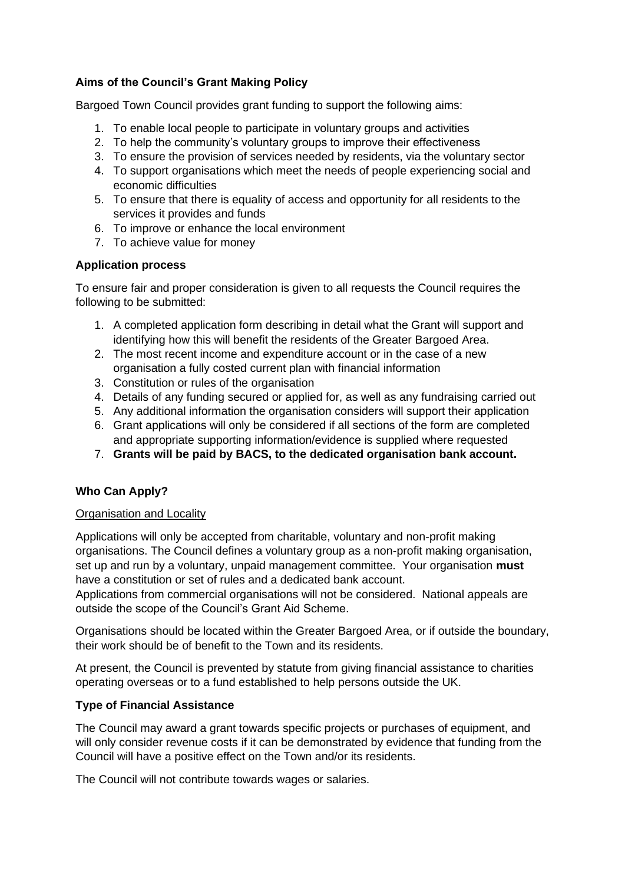### **Aims of the Council's Grant Making Policy**

Bargoed Town Council provides grant funding to support the following aims:

- 1. To enable local people to participate in voluntary groups and activities
- 2. To help the community's voluntary groups to improve their effectiveness
- 3. To ensure the provision of services needed by residents, via the voluntary sector
- 4. To support organisations which meet the needs of people experiencing social and economic difficulties
- 5. To ensure that there is equality of access and opportunity for all residents to the services it provides and funds
- 6. To improve or enhance the local environment
- 7. To achieve value for money

# **Application process**

To ensure fair and proper consideration is given to all requests the Council requires the following to be submitted:

- 1. A completed application form describing in detail what the Grant will support and identifying how this will benefit the residents of the Greater Bargoed Area.
- 2. The most recent income and expenditure account or in the case of a new organisation a fully costed current plan with financial information
- 3. Constitution or rules of the organisation
- 4. Details of any funding secured or applied for, as well as any fundraising carried out
- 5. Any additional information the organisation considers will support their application
- 6. Grant applications will only be considered if all sections of the form are completed and appropriate supporting information/evidence is supplied where requested
- 7. **Grants will be paid by BACS, to the dedicated organisation bank account.**

# **Who Can Apply?**

#### Organisation and Locality

Applications will only be accepted from charitable, voluntary and non-profit making organisations. The Council defines a voluntary group as a non-profit making organisation, set up and run by a voluntary, unpaid management committee. Your organisation **must**  have a constitution or set of rules and a dedicated bank account.

Applications from commercial organisations will not be considered. National appeals are outside the scope of the Council's Grant Aid Scheme.

Organisations should be located within the Greater Bargoed Area, or if outside the boundary, their work should be of benefit to the Town and its residents.

At present, the Council is prevented by statute from giving financial assistance to charities operating overseas or to a fund established to help persons outside the UK.

#### **Type of Financial Assistance**

The Council may award a grant towards specific projects or purchases of equipment, and will only consider revenue costs if it can be demonstrated by evidence that funding from the Council will have a positive effect on the Town and/or its residents.

The Council will not contribute towards wages or salaries.